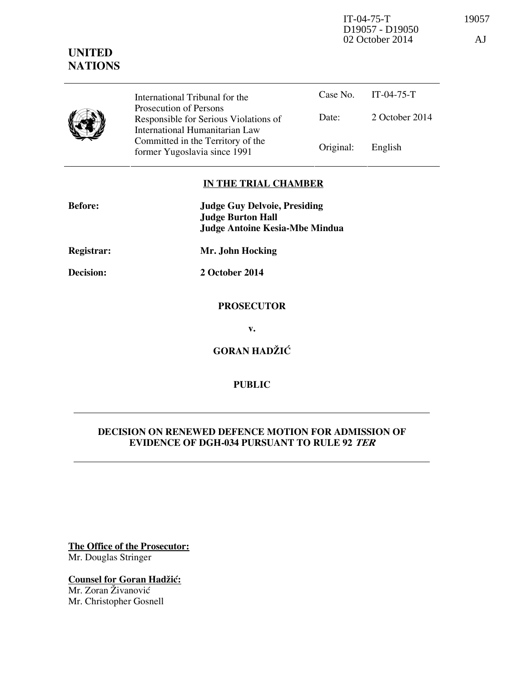IT-04-75-T 19057 D19057 - D19050 02 October 2014 AJ

# **UNITED NATIONS**

|  | International Tribunal for the                                                                    |           | Case No. IT-04-75-T |
|--|---------------------------------------------------------------------------------------------------|-----------|---------------------|
|  | Prosecution of Persons<br>Responsible for Serious Violations of<br>International Humanitarian Law | Date:     | 2 October 2014      |
|  | Committed in the Territory of the<br>former Yugoslavia since 1991                                 | Original: | English             |

### **IN THE TRIAL CHAMBER**

| <b>Before:</b> | <b>Judge Guy Delvoie, Presiding</b><br><b>Judge Burton Hall</b><br><b>Judge Antoine Kesia-Mbe Mindua</b> |
|----------------|----------------------------------------------------------------------------------------------------------|
| Registrar:     | Mr. John Hocking                                                                                         |
| Decision:      | 2 October 2014                                                                                           |
|                | <b>PROSECUTOR</b>                                                                                        |
|                | v.                                                                                                       |
|                | <b>GORAN HADŽIĆ</b>                                                                                      |

## **PUBLIC**

### **DECISION ON RENEWED DEFENCE MOTION FOR ADMISSION OF EVIDENCE OF DGH-034 PURSUANT TO RULE 92 TER**

**The Office of the Prosecutor:** Mr. Douglas Stringer

**Counsel for Goran Hadžić:** Mr. Zoran Živanović Mr. Christopher Gosnell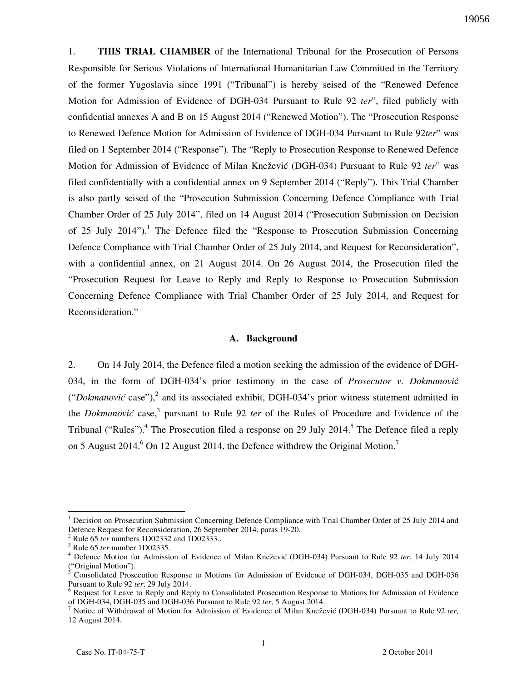1. **THIS TRIAL CHAMBER** of the International Tribunal for the Prosecution of Persons Responsible for Serious Violations of International Humanitarian Law Committed in the Territory of the former Yugoslavia since 1991 ("Tribunal") is hereby seised of the "Renewed Defence Motion for Admission of Evidence of DGH-034 Pursuant to Rule 92 *ter*", filed publicly with confidential annexes A and B on 15 August 2014 ("Renewed Motion"). The "Prosecution Response to Renewed Defence Motion for Admission of Evidence of DGH-034 Pursuant to Rule 92*ter*" was filed on 1 September 2014 ("Response"). The "Reply to Prosecution Response to Renewed Defence Motion for Admission of Evidence of Milan Knežević (DGH-034) Pursuant to Rule 92 *ter*" was filed confidentially with a confidential annex on 9 September 2014 ("Reply"). This Trial Chamber is also partly seised of the "Prosecution Submission Concerning Defence Compliance with Trial Chamber Order of 25 July 2014", filed on 14 August 2014 ("Prosecution Submission on Decision of 25 July 2014").<sup>1</sup> The Defence filed the "Response to Prosecution Submission Concerning Defence Compliance with Trial Chamber Order of 25 July 2014, and Request for Reconsideration", with a confidential annex, on 21 August 2014. On 26 August 2014, the Prosecution filed the "Prosecution Request for Leave to Reply and Reply to Response to Prosecution Submission Concerning Defence Compliance with Trial Chamber Order of 25 July 2014, and Request for Reconsideration."

#### **A. Background**

2. On 14 July 2014, the Defence filed a motion seeking the admission of the evidence of DGH-034, in the form of DGH-034's prior testimony in the case of *Prosecutor v. Dokmanovi*ć ("*Dokmanović* case"),<sup>2</sup> and its associated exhibit, DGH-034's prior witness statement admitted in the *Dokmanović* case,<sup>3</sup> pursuant to Rule 92 *ter* of the Rules of Procedure and Evidence of the Tribunal ("Rules").<sup>4</sup> The Prosecution filed a response on 29 July 2014.<sup>5</sup> The Defence filed a reply on 5 August 2014. $^{6}$  On 12 August 2014, the Defence withdrew the Original Motion.<sup>7</sup>

<sup>1</sup> Decision on Prosecution Submission Concerning Defence Compliance with Trial Chamber Order of 25 July 2014 and Defence Request for Reconsideration, 26 September 2014, paras 19-20.

<sup>2</sup> Rule 65 *ter* numbers 1D02332 and 1D02333..

<sup>3</sup> Rule 65 *ter* number 1D02335.

<sup>&</sup>lt;sup>4</sup> Defence Motion for Admission of Evidence of Milan Knežević (DGH-034) Pursuant to Rule 92 ter, 14 July 2014 ("Original Motion").<br>
<sup>5</sup> Consolidated Prose

Consolidated Prosecution Response to Motions for Admission of Evidence of DGH-034, DGH-035 and DGH-036 Pursuant to Rule 92 *ter*, 29 July 2014.

<sup>&</sup>lt;sup>6</sup> Request for Leave to Reply and Reply to Consolidated Prosecution Response to Motions for Admission of Evidence of DGH-034, DGH-035 and DGH-036 Pursuant to Rule 92 *ter*, 5 August 2014.

<sup>&</sup>lt;sup>7</sup> Notice of Withdrawal of Motion for Admission of Evidence of Milan Knežević (DGH-034) Pursuant to Rule 92 ter, 12 August 2014.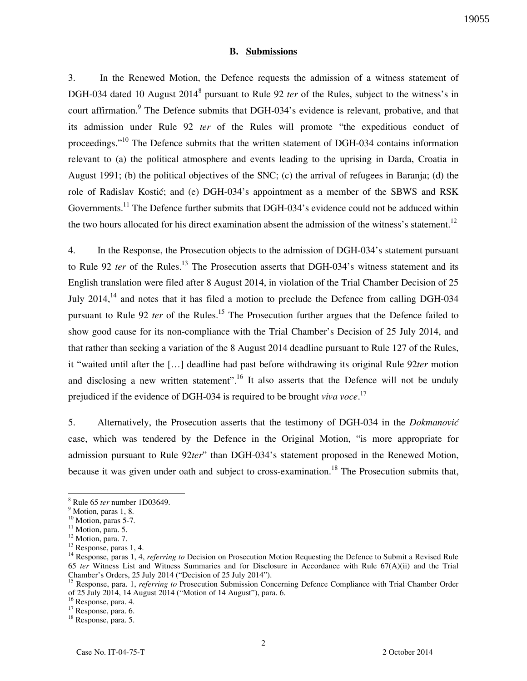#### **B. Submissions**

3. In the Renewed Motion, the Defence requests the admission of a witness statement of DGH-034 dated 10 August 2014<sup>8</sup> pursuant to Rule 92 *ter* of the Rules, subject to the witness's in court affirmation.<sup>9</sup> The Defence submits that DGH-034's evidence is relevant, probative, and that its admission under Rule 92 *ter* of the Rules will promote "the expeditious conduct of proceedings."<sup>10</sup> The Defence submits that the written statement of DGH-034 contains information relevant to (a) the political atmosphere and events leading to the uprising in Darda, Croatia in August 1991; (b) the political objectives of the SNC; (c) the arrival of refugees in Baranja; (d) the role of Radislav Kostić; and (e) DGH-034's appointment as a member of the SBWS and RSK Governments.<sup>11</sup> The Defence further submits that DGH-034's evidence could not be adduced within the two hours allocated for his direct examination absent the admission of the witness's statement.<sup>12</sup>

4. In the Response, the Prosecution objects to the admission of DGH-034's statement pursuant to Rule 92 *ter* of the Rules.<sup>13</sup> The Prosecution asserts that DGH-034's witness statement and its English translation were filed after 8 August 2014, in violation of the Trial Chamber Decision of 25 July 2014,  $14$  and notes that it has filed a motion to preclude the Defence from calling DGH-034 pursuant to Rule 92 *ter* of the Rules.<sup>15</sup> The Prosecution further argues that the Defence failed to show good cause for its non-compliance with the Trial Chamber's Decision of 25 July 2014, and that rather than seeking a variation of the 8 August 2014 deadline pursuant to Rule 127 of the Rules, it "waited until after the [...] deadline had past before withdrawing its original Rule 92ter motion and disclosing a new written statement".<sup>16</sup> It also asserts that the Defence will not be unduly prejudiced if the evidence of DGH-034 is required to be brought *viva voce*. 17

5. Alternatively, the Prosecution asserts that the testimony of DGH-034 in the *Dokmanovi}* case, which was tendered by the Defence in the Original Motion, "is more appropriate for admission pursuant to Rule 92*ter*" than DGH-034's statement proposed in the Renewed Motion, because it was given under oath and subject to cross-examination.<sup>18</sup> The Prosecution submits that,

<sup>8</sup> Rule 65 *ter* number 1D03649.

<sup>&</sup>lt;sup>9</sup> Motion, paras 1, 8.

<sup>&</sup>lt;sup>10</sup> Motion, paras 5-7.

 $11$  Motion, para. 5.

<sup>&</sup>lt;sup>12</sup> Motion, para. 7.

<sup>&</sup>lt;sup>13</sup> Response, paras 1, 4.

<sup>&</sup>lt;sup>14</sup> Response, paras 1, 4, *referring to* Decision on Prosecution Motion Requesting the Defence to Submit a Revised Rule 65 *ter* Witness List and Witness Summaries and for Disclosure in Accordance with Rule 67(A)(ii) and the Trial Chamber's Orders, 25 July 2014 ("Decision of 25 July 2014").

<sup>15</sup> Response, para. 1, *referring to* Prosecution Submission Concerning Defence Compliance with Trial Chamber Order of 25 July 2014, 14 August 2014 ("Motion of 14 August"), para. 6.

<sup>&</sup>lt;sup>16</sup> Response, para. 4.

 $17$  Response, para. 6.

<sup>18</sup> Response, para. 5.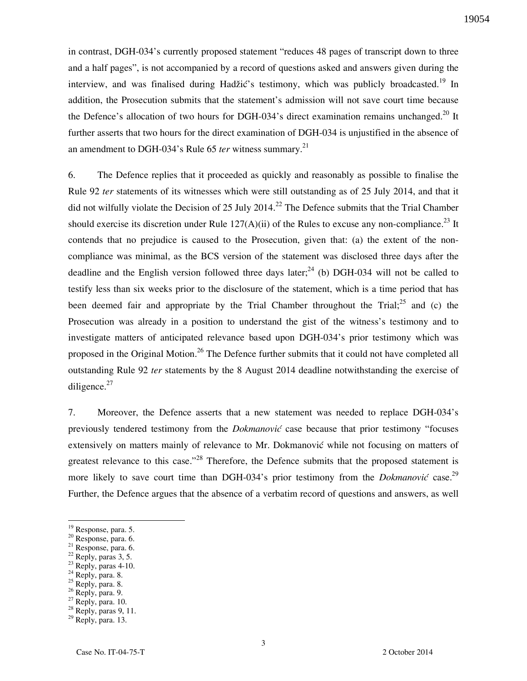in contrast, DGH-034's currently proposed statement "reduces 48 pages of transcript down to three and a half pages", is not accompanied by a record of questions asked and answers given during the interview, and was finalised during Hadžić's testimony, which was publicly broadcasted.<sup>19</sup> In addition, the Prosecution submits that the statement's admission will not save court time because the Defence's allocation of two hours for DGH-034's direct examination remains unchanged.<sup>20</sup> It further asserts that two hours for the direct examination of DGH-034 is unjustified in the absence of an amendment to DGH-034's Rule 65 *ter* witness summary.<sup>21</sup>

6. The Defence replies that it proceeded as quickly and reasonably as possible to finalise the Rule 92 *ter* statements of its witnesses which were still outstanding as of 25 July 2014, and that it did not wilfully violate the Decision of 25 July 2014.<sup>22</sup> The Defence submits that the Trial Chamber should exercise its discretion under Rule  $127(A)(ii)$  of the Rules to excuse any non-compliance.<sup>23</sup> It contends that no prejudice is caused to the Prosecution, given that: (a) the extent of the noncompliance was minimal, as the BCS version of the statement was disclosed three days after the deadline and the English version followed three days later;  $^{24}$  (b) DGH-034 will not be called to testify less than six weeks prior to the disclosure of the statement, which is a time period that has been deemed fair and appropriate by the Trial Chamber throughout the Trial;  $^{25}$  and (c) the Prosecution was already in a position to understand the gist of the witness's testimony and to investigate matters of anticipated relevance based upon DGH-034's prior testimony which was proposed in the Original Motion.<sup>26</sup> The Defence further submits that it could not have completed all outstanding Rule 92 *ter* statements by the 8 August 2014 deadline notwithstanding the exercise of diligence. $27$ 

7. Moreover, the Defence asserts that a new statement was needed to replace DGH-034's previously tendered testimony from the *Dokmanović* case because that prior testimony "focuses extensively on matters mainly of relevance to Mr. Dokmanović while not focusing on matters of greatest relevance to this case."<sup>28</sup> Therefore, the Defence submits that the proposed statement is more likely to save court time than DGH-034's prior testimony from the *Dokmanović* case.<sup>29</sup> Further, the Defence argues that the absence of a verbatim record of questions and answers, as well

 $\overline{a}$ 

- <sup>21</sup> Response, para. 6.
- $22$  Reply, paras 3, 5.
- $23$  Reply, paras 4-10.
- $^{24}$  Reply, para. 8.
- $25$  Reply, para. 8.

 $27$  Reply, para. 10.

<sup>&</sup>lt;sup>19</sup> Response, para. 5.

<sup>20</sup> Response, para. 6.

 $26$  Reply, para. 9.

<sup>28</sup> Reply, paras 9, 11.

 $29$  Reply, para. 13.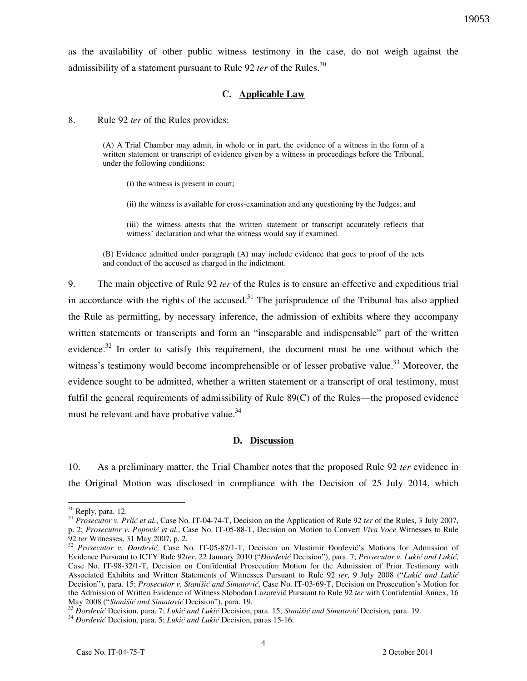as the availability of other public witness testimony in the case, do not weigh against the admissibility of a statement pursuant to Rule 92 *ter* of the Rules.<sup>30</sup>

### **C. Applicable Law**

8. Rule 92 *ter* of the Rules provides:

(A) A Trial Chamber may admit, in whole or in part, the evidence of a witness in the form of a written statement or transcript of evidence given by a witness in proceedings before the Tribunal, under the following conditions:

(i) the witness is present in court;

(ii) the witness is available for cross-examination and any questioning by the Judges; and

(iii) the witness attests that the written statement or transcript accurately reflects that witness' declaration and what the witness would say if examined.

(B) Evidence admitted under paragraph (A) may include evidence that goes to proof of the acts and conduct of the accused as charged in the indictment.

9. The main objective of Rule 92 *ter* of the Rules is to ensure an effective and expeditious trial in accordance with the rights of the accused.<sup>31</sup> The jurisprudence of the Tribunal has also applied the Rule as permitting, by necessary inference, the admission of exhibits where they accompany written statements or transcripts and form an "inseparable and indispensable" part of the written evidence.<sup>32</sup> In order to satisfy this requirement, the document must be one without which the witness's testimony would become incomprehensible or of lesser probative value.<sup>33</sup> Moreover, the evidence sought to be admitted, whether a written statement or a transcript of oral testimony, must fulfil the general requirements of admissibility of Rule 89(C) of the Rules—the proposed evidence must be relevant and have probative value.<sup>34</sup>

#### **D. Discussion**

10. As a preliminary matter, the Trial Chamber notes that the proposed Rule 92 *ter* evidence in the Original Motion was disclosed in compliance with the Decision of 25 July 2014, which

 $30$  Reply, para. 12.

<sup>&</sup>lt;sup>31</sup> Prosecutor v. Prlić et al., Case No. IT-04-74-T, Decision on the Application of Rule 92 *ter* of the Rules, 3 July 2007, p. 2; *Prosecutor v. Popović et al.*, Case No. IT-05-88-T, Decision on Motion to Convert *Viva Voce* Witnesses to Rule 92 *ter* Witnesses, 31 May 2007, p. 2.

<sup>&</sup>lt;sup>32</sup> Prosecutor v. Đorđević, Case No. IT-05-87/1-T, Decision on Vlastimir Đorđević's Motions for Admission of Evidence Pursuant to ICTY Rule 92ter, 22 January 2010 ("*Đorđević* Decision"), para. 7; Prosecutor v. Lukić and Lukić, Case No. IT-98-32/1-T, Decision on Confidential Prosecution Motion for the Admission of Prior Testimony with Associated Exhibits and Written Statements of Witnesses Pursuant to Rule 92 ter, 9 July 2008 ("Lukić and Lukić Decision"), para. 15; Prosecutor v. Stanišić and Simatović, Case No. IT-03-69-T, Decision on Prosecution's Motion for the Admission of Written Evidence of Witness Slobodan Lazarević Pursuant to Rule 92 *ter* with Confidential Annex, 16 May 2008 ("Stanišić and Simatović Decision"), para. 19.

<sup>&</sup>lt;sup>33</sup> *Đorđević* Decision, para. 7; *Lukić and Lukić* Decision, para. 15; *Stanišić and Simatović* Decision, para. 19.

<sup>&</sup>lt;sup>34</sup> Đorđević Decision, para. 5; *Lukić and Lukić* Decision, paras 15-16.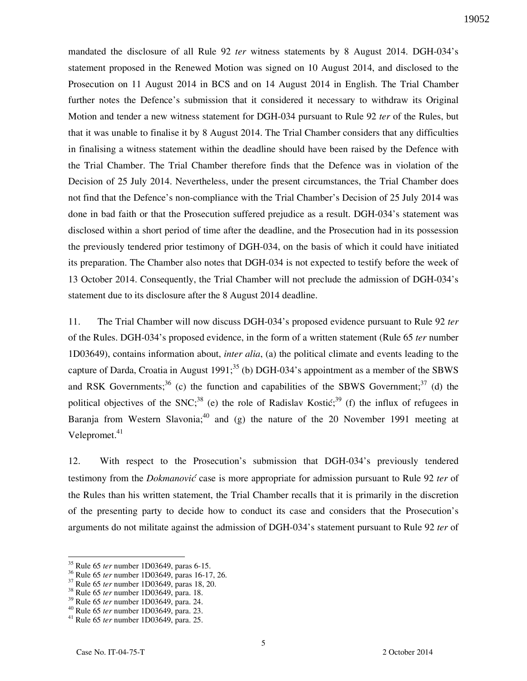mandated the disclosure of all Rule 92 *ter* witness statements by 8 August 2014. DGH-034's statement proposed in the Renewed Motion was signed on 10 August 2014, and disclosed to the Prosecution on 11 August 2014 in BCS and on 14 August 2014 in English. The Trial Chamber further notes the Defence's submission that it considered it necessary to withdraw its Original Motion and tender a new witness statement for DGH-034 pursuant to Rule 92 *ter* of the Rules, but that it was unable to finalise it by 8 August 2014. The Trial Chamber considers that any difficulties in finalising a witness statement within the deadline should have been raised by the Defence with the Trial Chamber. The Trial Chamber therefore finds that the Defence was in violation of the Decision of 25 July 2014. Nevertheless, under the present circumstances, the Trial Chamber does not find that the Defence's non-compliance with the Trial Chamber's Decision of 25 July 2014 was done in bad faith or that the Prosecution suffered prejudice as a result. DGH-034's statement was disclosed within a short period of time after the deadline, and the Prosecution had in its possession the previously tendered prior testimony of DGH-034, on the basis of which it could have initiated its preparation. The Chamber also notes that DGH-034 is not expected to testify before the week of 13 October 2014. Consequently, the Trial Chamber will not preclude the admission of DGH-034's statement due to its disclosure after the 8 August 2014 deadline.

11. The Trial Chamber will now discuss DGH-034's proposed evidence pursuant to Rule 92 *ter*  of the Rules. DGH-034's proposed evidence, in the form of a written statement (Rule 65 *ter* number 1D03649), contains information about, *inter alia*, (a) the political climate and events leading to the capture of Darda, Croatia in August 1991;<sup>35</sup> (b) DGH-034's appointment as a member of the SBWS and RSK Governments;<sup>36</sup> (c) the function and capabilities of the SBWS Government;<sup>37</sup> (d) the political objectives of the SNC;<sup>38</sup> (e) the role of Radislav Kostic;<sup>39</sup> (f) the influx of refugees in Baranja from Western Slavonia;<sup>40</sup> and (g) the nature of the 20 November 1991 meeting at Velepromet. $41$ 

12. With respect to the Prosecution's submission that DGH-034's previously tendered testimony from the *Dokmanovi}* case is more appropriate for admission pursuant to Rule 92 *ter* of the Rules than his written statement, the Trial Chamber recalls that it is primarily in the discretion of the presenting party to decide how to conduct its case and considers that the Prosecution's arguments do not militate against the admission of DGH-034's statement pursuant to Rule 92 *ter* of

<sup>35</sup> Rule 65 *ter* number 1D03649, paras 6-15.

<sup>36</sup> Rule 65 *ter* number 1D03649, paras 16-17, 26.

<sup>37</sup> Rule 65 *ter* number 1D03649, paras 18, 20.

<sup>38</sup> Rule 65 *ter* number 1D03649, para. 18.

<sup>39</sup> Rule 65 *ter* number 1D03649, para. 24.

<sup>40</sup> Rule 65 *ter* number 1D03649, para. 23.

<sup>41</sup> Rule 65 *ter* number 1D03649, para. 25.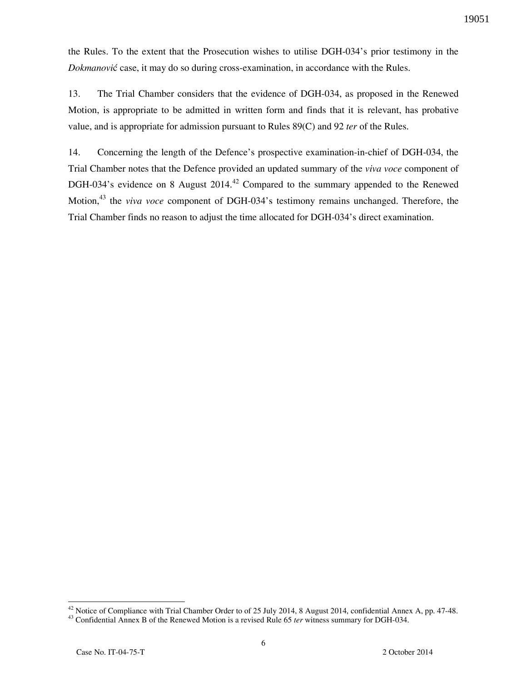the Rules. To the extent that the Prosecution wishes to utilise DGH-034's prior testimony in the *Dokmanovi*ć case, it may do so during cross-examination, in accordance with the Rules.

13. The Trial Chamber considers that the evidence of DGH-034, as proposed in the Renewed Motion, is appropriate to be admitted in written form and finds that it is relevant, has probative value, and is appropriate for admission pursuant to Rules 89(C) and 92 *ter* of the Rules.

14. Concerning the length of the Defence's prospective examination-in-chief of DGH-034, the Trial Chamber notes that the Defence provided an updated summary of the *viva voce* component of DGH-034's evidence on 8 August 2014.<sup>42</sup> Compared to the summary appended to the Renewed Motion,<sup>43</sup> the *viva voce* component of DGH-034's testimony remains unchanged. Therefore, the Trial Chamber finds no reason to adjust the time allocated for DGH-034's direct examination.

 $42$  Notice of Compliance with Trial Chamber Order to of 25 July 2014, 8 August 2014, confidential Annex A, pp. 47-48.

<sup>43</sup> Confidential Annex B of the Renewed Motion is a revised Rule 65 *ter* witness summary for DGH-034.